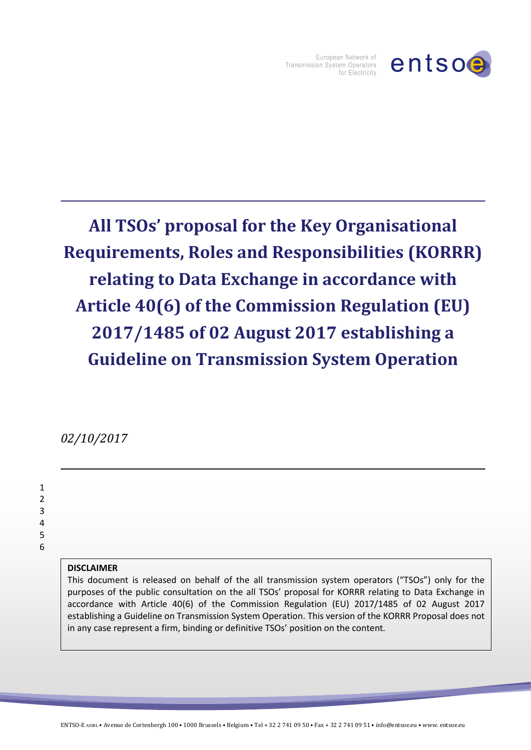

European Network of Transmission System Operators for Electricity

## **All TSOs' proposal for the Key Organisational Requirements, Roles and Responsibilities (KORRR) relating to Data Exchange in accordance with Article 40(6) of the Commission Regulation (EU) 2017/1485 of 02 August 2017 establishing a Guideline on Transmission System Operation**

*02/10/2017*

## **DISCLAIMER**

This document is released on behalf of the all transmission system operators ("TSOs") only for the purposes of the public consultation on the all TSOs' proposal for KORRR relating to Data Exchange in accordance with Article 40(6) of the Commission Regulation (EU) 2017/1485 of 02 August 2017 establishing a Guideline on Transmission System Operation. This version of the KORRR Proposal does not in any case represent a firm, binding or definitive TSOs' position on the content.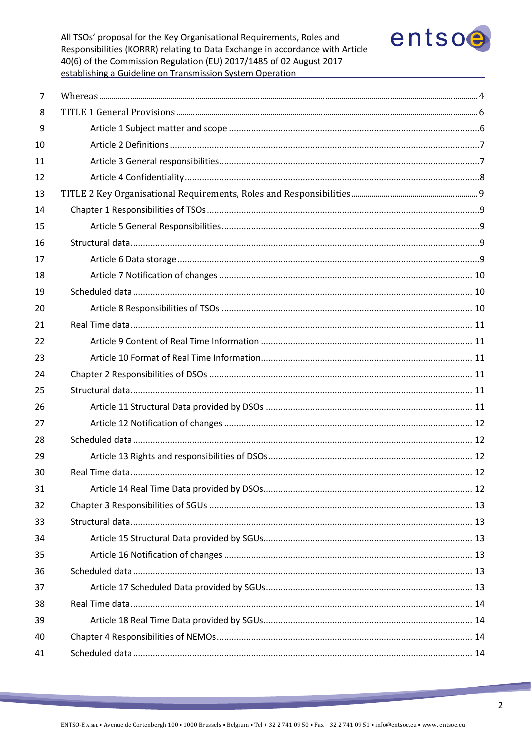

| 7  |  |
|----|--|
| 8  |  |
| 9  |  |
| 10 |  |
| 11 |  |
| 12 |  |
| 13 |  |
| 14 |  |
| 15 |  |
| 16 |  |
| 17 |  |
| 18 |  |
| 19 |  |
| 20 |  |
| 21 |  |
| 22 |  |
| 23 |  |
| 24 |  |
| 25 |  |
| 26 |  |
| 27 |  |
| 28 |  |
| 29 |  |
| 30 |  |
| 31 |  |
| 32 |  |
| 33 |  |
| 34 |  |
| 35 |  |
| 36 |  |
| 37 |  |
| 38 |  |
| 39 |  |
| 40 |  |
| 41 |  |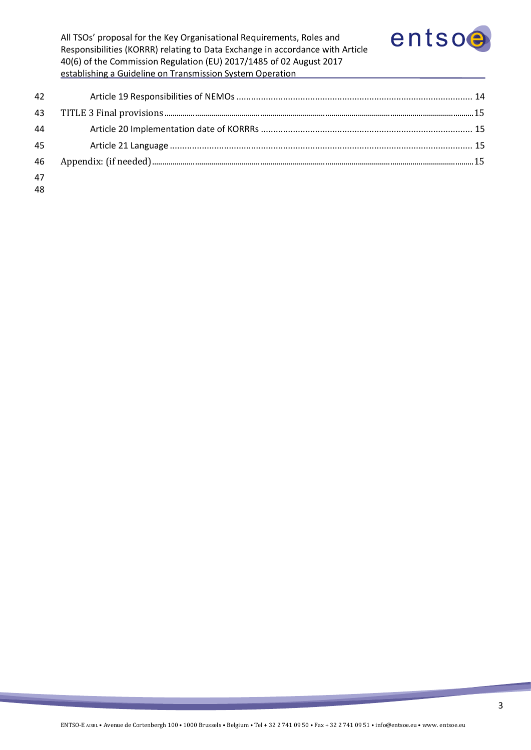

| 42 |  |
|----|--|
| 43 |  |
| 44 |  |
| 45 |  |
| 46 |  |
| 47 |  |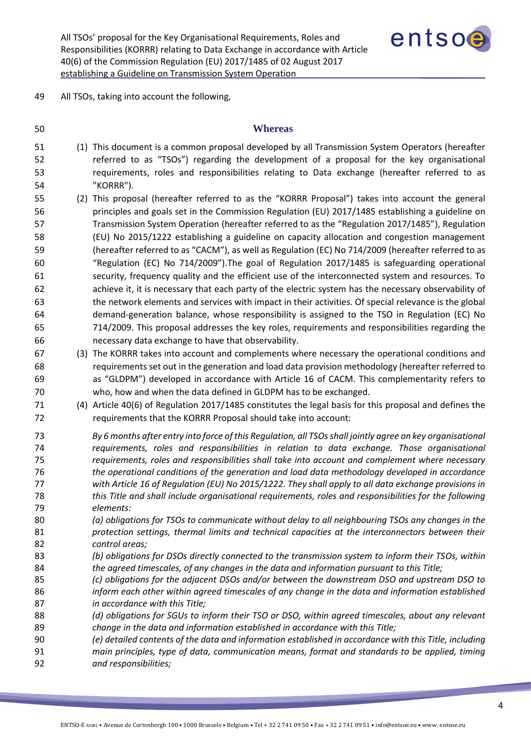

<span id="page-3-0"></span>All TSOs, taking into account the following,

## **Whereas**

- (1) This document is a common proposal developed by all Transmission System Operators (hereafter referred to as "TSOs") regarding the development of a proposal for the key organisational requirements, roles and responsibilities relating to Data exchange (hereafter referred to as "KORRR").
- (2) This proposal (hereafter referred to as the "KORRR Proposal") takes into account the general principles and goals set in the Commission Regulation (EU) 2017/1485 establishing a guideline on Transmission System Operation (hereafter referred to as the "Regulation 2017/1485"), Regulation (EU) No 2015/1222 establishing a guideline on capacity allocation and congestion management (hereafter referred to as "CACM"), as well as Regulation (EC) No 714/2009 (hereafter referred to as "Regulation (EC) No 714/2009").The goal of Regulation 2017/1485 is safeguarding operational security, frequency quality and the efficient use of the interconnected system and resources. To 62 achieve it, it is necessary that each party of the electric system has the necessary observability of the network elements and services with impact in their activities. Of special relevance is the global demand-generation balance, whose responsibility is assigned to the TSO in Regulation (EC) No 714/2009. This proposal addresses the key roles, requirements and responsibilities regarding the necessary data exchange to have that observability.
- (3) The KORRR takes into account and complements where necessary the operational conditions and requirements set out in the generation and load data provision methodology (hereafter referred to as "GLDPM") developed in accordance with Article 16 of CACM. This complementarity refers to who, how and when the data defined in GLDPM has to be exchanged.
- (4) Article 40(6) of Regulation 2017/1485 constitutes the legal basis for this proposal and defines the requirements that the KORRR Proposal should take into account:
- *By 6 months after entry into force of this Regulation, all TSOs shall jointly agree on key organisational requirements, roles and responsibilities in relation to data exchange. Those organisational requirements, roles and responsibilities shall take into account and complement where necessary the operational conditions of the generation and load data methodology developed in accordance with Article 16 of Regulation (EU) No 2015/1222. They shall apply to all data exchange provisions in this Title and shall include organisational requirements, roles and responsibilities for the following elements:*
- *(a) obligations for TSOs to communicate without delay to all neighbouring TSOs any changes in the protection settings, thermal limits and technical capacities at the interconnectors between their control areas;*
- *(b) obligations for DSOs directly connected to the transmission system to inform their TSOs, within the agreed timescales, of any changes in the data and information pursuant to this Title;*
- *(c) obligations for the adjacent DSOs and/or between the downstream DSO and upstream DSO to*
- *inform each other within agreed timescales of any change in the data and information established in accordance with this Title;*
- *(d) obligations for SGUs to inform their TSO or DSO, within agreed timescales, about any relevant change in the data and information established in accordance with this Title;*
- *(e) detailed contents of the data and information established in accordance with this Title, including*
- *main principles, type of data, communication means, format and standards to be applied, timing and responsibilities;*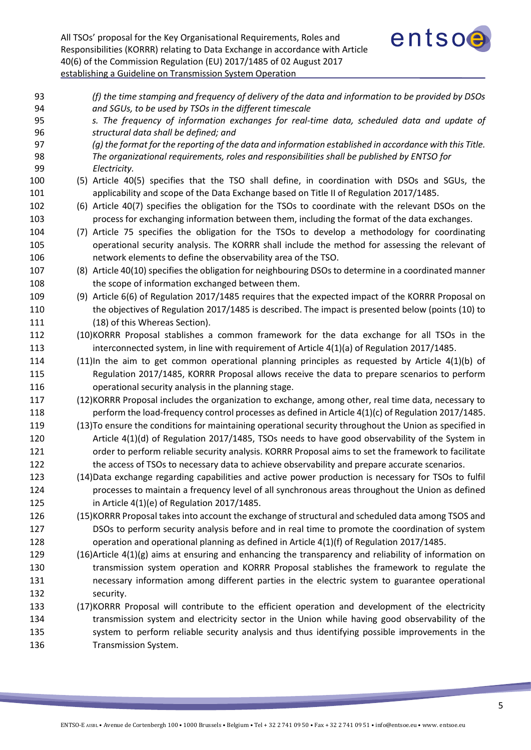

| 93       | (f) the time stamping and frequency of delivery of the data and information to be provided by DSOs                                                    |
|----------|-------------------------------------------------------------------------------------------------------------------------------------------------------|
| 94<br>95 | and SGUs, to be used by TSOs in the different timescale<br>s. The frequency of information exchanges for real-time data, scheduled data and update of |
| 96       | structural data shall be defined; and                                                                                                                 |
| 97       | (g) the format for the reporting of the data and information established in accordance with this Title.                                               |
| 98       | The organizational requirements, roles and responsibilities shall be published by ENTSO for                                                           |
| 99       | Electricity.                                                                                                                                          |
| 100      | (5) Article 40(5) specifies that the TSO shall define, in coordination with DSOs and SGUs, the                                                        |
| 101      | applicability and scope of the Data Exchange based on Title II of Regulation 2017/1485.                                                               |
| 102      | (6) Article 40(7) specifies the obligation for the TSOs to coordinate with the relevant DSOs on the                                                   |
| 103      | process for exchanging information between them, including the format of the data exchanges.                                                          |
| 104      | (7) Article 75 specifies the obligation for the TSOs to develop a methodology for coordinating                                                        |
| 105      | operational security analysis. The KORRR shall include the method for assessing the relevant of                                                       |
| 106      | network elements to define the observability area of the TSO.                                                                                         |
| 107      | (8) Article 40(10) specifies the obligation for neighbouring DSOs to determine in a coordinated manner                                                |
| 108      | the scope of information exchanged between them.                                                                                                      |
| 109      | (9) Article 6(6) of Regulation 2017/1485 requires that the expected impact of the KORRR Proposal on                                                   |
| 110      | the objectives of Regulation 2017/1485 is described. The impact is presented below (points (10) to                                                    |
| 111      | (18) of this Whereas Section).                                                                                                                        |
| 112      | (10)KORRR Proposal stablishes a common framework for the data exchange for all TSOs in the                                                            |
| 113      | interconnected system, in line with requirement of Article $4(1)(a)$ of Regulation 2017/1485.                                                         |
| 114      | $(11)$ In the aim to get common operational planning principles as requested by Article $4(1)(b)$ of                                                  |
| 115      | Regulation 2017/1485, KORRR Proposal allows receive the data to prepare scenarios to perform                                                          |
| 116      | operational security analysis in the planning stage.                                                                                                  |
| 117      | (12) KORRR Proposal includes the organization to exchange, among other, real time data, necessary to                                                  |
| 118      | perform the load-frequency control processes as defined in Article 4(1)(c) of Regulation 2017/1485.                                                   |
| 119      | (13) To ensure the conditions for maintaining operational security throughout the Union as specified in                                               |
| 120      | Article $4(1)(d)$ of Regulation 2017/1485, TSOs needs to have good observability of the System in                                                     |
| 121      | order to perform reliable security analysis. KORRR Proposal aims to set the framework to facilitate                                                   |
| 122      | the access of TSOs to necessary data to achieve observability and prepare accurate scenarios.                                                         |
| 123      | (14) Data exchange regarding capabilities and active power production is necessary for TSOs to fulfil                                                 |
| 124      | processes to maintain a frequency level of all synchronous areas throughout the Union as defined                                                      |
| 125      | in Article $4(1)(e)$ of Regulation 2017/1485.                                                                                                         |
| 126      | (15) KORRR Proposal takes into account the exchange of structural and scheduled data among TSOS and                                                   |
| 127      | DSOs to perform security analysis before and in real time to promote the coordination of system                                                       |
| 128      | operation and operational planning as defined in Article 4(1)(f) of Regulation 2017/1485.                                                             |
| 129      | $(16)$ Article $4(1)(g)$ aims at ensuring and enhancing the transparency and reliability of information on                                            |
| 130      | transmission system operation and KORRR Proposal stablishes the framework to regulate the                                                             |
| 131      | necessary information among different parties in the electric system to guarantee operational                                                         |
| 132      | security.                                                                                                                                             |
| 133      | (17) KORRR Proposal will contribute to the efficient operation and development of the electricity                                                     |
| 134      | transmission system and electricity sector in the Union while having good observability of the                                                        |
| 135      | system to perform reliable security analysis and thus identifying possible improvements in the                                                        |
| 136      | Transmission System.                                                                                                                                  |
|          |                                                                                                                                                       |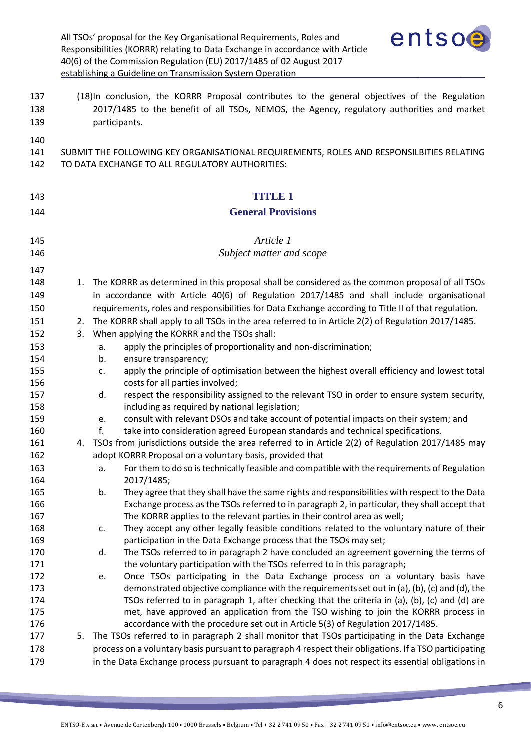<span id="page-5-1"></span><span id="page-5-0"></span>

|                   |    | entsoe<br>All TSOs' proposal for the Key Organisational Requirements, Roles and<br>Responsibilities (KORRR) relating to Data Exchange in accordance with Article<br>40(6) of the Commission Regulation (EU) 2017/1485 of 02 August 2017<br>establishing a Guideline on Transmission System Operation |
|-------------------|----|------------------------------------------------------------------------------------------------------------------------------------------------------------------------------------------------------------------------------------------------------------------------------------------------------|
| 137<br>138<br>139 |    | (18)In conclusion, the KORRR Proposal contributes to the general objectives of the Regulation<br>2017/1485 to the benefit of all TSOs, NEMOS, the Agency, regulatory authorities and market<br>participants.                                                                                         |
| 140<br>141<br>142 |    | SUBMIT THE FOLLOWING KEY ORGANISATIONAL REQUIREMENTS, ROLES AND RESPONSILBITIES RELATING<br>TO DATA EXCHANGE TO ALL REGULATORY AUTHORITIES:                                                                                                                                                          |
| 143               |    | TITUE <sub>1</sub>                                                                                                                                                                                                                                                                                   |
| 144               |    | <b>General Provisions</b>                                                                                                                                                                                                                                                                            |
|                   |    | Article 1                                                                                                                                                                                                                                                                                            |
| 145               |    |                                                                                                                                                                                                                                                                                                      |
| 146               |    | Subject matter and scope                                                                                                                                                                                                                                                                             |
| 147               |    |                                                                                                                                                                                                                                                                                                      |
| 148               | 1. | The KORRR as determined in this proposal shall be considered as the common proposal of all TSOs                                                                                                                                                                                                      |
| 149               |    | in accordance with Article 40(6) of Regulation 2017/1485 and shall include organisational                                                                                                                                                                                                            |
| 150               |    | requirements, roles and responsibilities for Data Exchange according to Title II of that regulation.                                                                                                                                                                                                 |
| 151               | 2. | The KORRR shall apply to all TSOs in the area referred to in Article 2(2) of Regulation 2017/1485.                                                                                                                                                                                                   |
| 152               | 3. | When applying the KORRR and the TSOs shall:                                                                                                                                                                                                                                                          |
| 153               |    | apply the principles of proportionality and non-discrimination;<br>a.                                                                                                                                                                                                                                |
| 154               |    | ensure transparency;<br>b.                                                                                                                                                                                                                                                                           |
| 155               |    | apply the principle of optimisation between the highest overall efficiency and lowest total<br>c.                                                                                                                                                                                                    |
| 156               |    | costs for all parties involved;                                                                                                                                                                                                                                                                      |
| 157<br>158        |    | respect the responsibility assigned to the relevant TSO in order to ensure system security,<br>d.<br>including as required by national legislation;                                                                                                                                                  |
| 159               |    | consult with relevant DSOs and take account of potential impacts on their system; and                                                                                                                                                                                                                |
| 160               |    | e.<br>take into consideration agreed European standards and technical specifications.<br>f.                                                                                                                                                                                                          |
| 161               | 4. | TSOs from jurisdictions outside the area referred to in Article 2(2) of Regulation 2017/1485 may                                                                                                                                                                                                     |
| 162               |    | adopt KORRR Proposal on a voluntary basis, provided that                                                                                                                                                                                                                                             |
| 163               |    | For them to do so is technically feasible and compatible with the requirements of Regulation<br>a.                                                                                                                                                                                                   |
| 164               |    | 2017/1485;                                                                                                                                                                                                                                                                                           |
| 165               |    | They agree that they shall have the same rights and responsibilities with respect to the Data<br>b.                                                                                                                                                                                                  |
| 166               |    | Exchange process as the TSOs referred to in paragraph 2, in particular, they shall accept that                                                                                                                                                                                                       |
| 167               |    | The KORRR applies to the relevant parties in their control area as well;                                                                                                                                                                                                                             |
| 168               |    | They accept any other legally feasible conditions related to the voluntary nature of their<br>c.                                                                                                                                                                                                     |
| 169               |    | participation in the Data Exchange process that the TSOs may set;                                                                                                                                                                                                                                    |
| 170               |    | The TSOs referred to in paragraph 2 have concluded an agreement governing the terms of<br>d.                                                                                                                                                                                                         |
| 171               |    | the voluntary participation with the TSOs referred to in this paragraph;                                                                                                                                                                                                                             |
| 172               |    | Once TSOs participating in the Data Exchange process on a voluntary basis have<br>e.                                                                                                                                                                                                                 |
| 173<br>174        |    | demonstrated objective compliance with the requirements set out in (a), (b), (c) and (d), the<br>TSOs referred to in paragraph 1, after checking that the criteria in (a), (b), (c) and (d) are                                                                                                      |
| 175               |    | met, have approved an application from the TSO wishing to join the KORRR process in                                                                                                                                                                                                                  |
| 176               |    | accordance with the procedure set out in Article 5(3) of Regulation 2017/1485.                                                                                                                                                                                                                       |
| 177               | 5. | The TSOs referred to in paragraph 2 shall monitor that TSOs participating in the Data Exchange                                                                                                                                                                                                       |
| 178               |    | process on a voluntary basis pursuant to paragraph 4 respect their obligations. If a TSO participating                                                                                                                                                                                               |
| 179               |    | in the Data Exchange process pursuant to paragraph 4 does not respect its essential obligations in                                                                                                                                                                                                   |

<u> The Company of the Company of the Company of the Company of the Company of the Company of the Company of the Company of the Company of the Company of the Company of the Company of the Company of the Company of the Compan</u>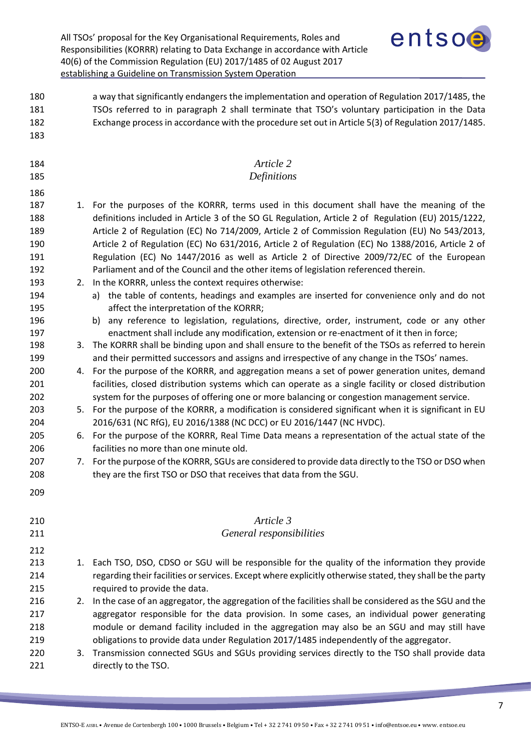<span id="page-6-1"></span><span id="page-6-0"></span>

|                                        |    | entsoe<br>All TSOs' proposal for the Key Organisational Requirements, Roles and<br>Responsibilities (KORRR) relating to Data Exchange in accordance with Article<br>40(6) of the Commission Regulation (EU) 2017/1485 of 02 August 2017<br>establishing a Guideline on Transmission System Operation                                                                                                                                                                                                                                                                                          |
|----------------------------------------|----|-----------------------------------------------------------------------------------------------------------------------------------------------------------------------------------------------------------------------------------------------------------------------------------------------------------------------------------------------------------------------------------------------------------------------------------------------------------------------------------------------------------------------------------------------------------------------------------------------|
| 180<br>181<br>182<br>183               |    | a way that significantly endangers the implementation and operation of Regulation 2017/1485, the<br>TSOs referred to in paragraph 2 shall terminate that TSO's voluntary participation in the Data<br>Exchange process in accordance with the procedure set out in Article 5(3) of Regulation 2017/1485.                                                                                                                                                                                                                                                                                      |
| 184<br>185                             |    | Article 2<br>Definitions                                                                                                                                                                                                                                                                                                                                                                                                                                                                                                                                                                      |
| 186                                    |    |                                                                                                                                                                                                                                                                                                                                                                                                                                                                                                                                                                                               |
| 187<br>188<br>189<br>190<br>191<br>192 |    | 1. For the purposes of the KORRR, terms used in this document shall have the meaning of the<br>definitions included in Article 3 of the SO GL Regulation, Article 2 of Regulation (EU) 2015/1222,<br>Article 2 of Regulation (EC) No 714/2009, Article 2 of Commission Regulation (EU) No 543/2013,<br>Article 2 of Regulation (EC) No 631/2016, Article 2 of Regulation (EC) No 1388/2016, Article 2 of<br>Regulation (EC) No 1447/2016 as well as Article 2 of Directive 2009/72/EC of the European<br>Parliament and of the Council and the other items of legislation referenced therein. |
| 193<br>194<br>195<br>196               |    | 2. In the KORRR, unless the context requires otherwise:<br>a) the table of contents, headings and examples are inserted for convenience only and do not<br>affect the interpretation of the KORRR;<br>b) any reference to legislation, regulations, directive, order, instrument, code or any other                                                                                                                                                                                                                                                                                           |
| 197<br>198<br>199                      |    | enactment shall include any modification, extension or re-enactment of it then in force;<br>3. The KORRR shall be binding upon and shall ensure to the benefit of the TSOs as referred to herein<br>and their permitted successors and assigns and irrespective of any change in the TSOs' names.                                                                                                                                                                                                                                                                                             |
| 200<br>201<br>202                      | 4. | For the purpose of the KORRR, and aggregation means a set of power generation unites, demand<br>facilities, closed distribution systems which can operate as a single facility or closed distribution<br>system for the purposes of offering one or more balancing or congestion management service.                                                                                                                                                                                                                                                                                          |
| 203<br>204                             |    | 5. For the purpose of the KORRR, a modification is considered significant when it is significant in EU<br>2016/631 (NC RfG), EU 2016/1388 (NC DCC) or EU 2016/1447 (NC HVDC).                                                                                                                                                                                                                                                                                                                                                                                                                 |
| 205<br>206                             | 6. | For the purpose of the KORRR, Real Time Data means a representation of the actual state of the<br>facilities no more than one minute old.                                                                                                                                                                                                                                                                                                                                                                                                                                                     |
| 207<br>208                             |    | 7. For the purpose of the KORRR, SGUs are considered to provide data directly to the TSO or DSO when<br>they are the first TSO or DSO that receives that data from the SGU.                                                                                                                                                                                                                                                                                                                                                                                                                   |
| 209                                    |    |                                                                                                                                                                                                                                                                                                                                                                                                                                                                                                                                                                                               |
| 210<br>211                             |    | Article 3<br>General responsibilities                                                                                                                                                                                                                                                                                                                                                                                                                                                                                                                                                         |
| 212                                    |    |                                                                                                                                                                                                                                                                                                                                                                                                                                                                                                                                                                                               |
| 213<br>214<br>215                      | 1. | Each TSO, DSO, CDSO or SGU will be responsible for the quality of the information they provide<br>regarding their facilities or services. Except where explicitly otherwise stated, they shall be the party<br>required to provide the data.                                                                                                                                                                                                                                                                                                                                                  |
| 216<br>217<br>218                      | 2. | In the case of an aggregator, the aggregation of the facilities shall be considered as the SGU and the<br>aggregator responsible for the data provision. In some cases, an individual power generating<br>module or demand facility included in the aggregation may also be an SGU and may still have                                                                                                                                                                                                                                                                                         |
| 219<br>220<br>221                      | 3. | obligations to provide data under Regulation 2017/1485 independently of the aggregator.<br>Transmission connected SGUs and SGUs providing services directly to the TSO shall provide data<br>directly to the TSO.                                                                                                                                                                                                                                                                                                                                                                             |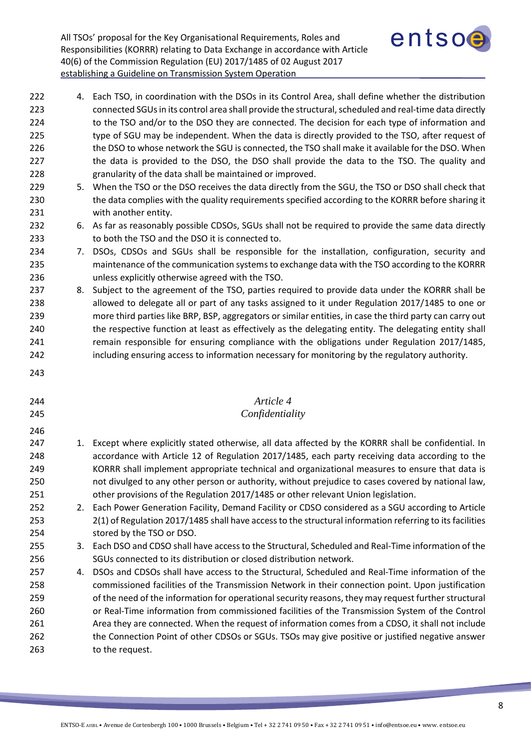

 4. Each TSO, in coordination with the DSOs in its Control Area, shall define whether the distribution connected SGUs in its control area shall provide the structural, scheduled and real-time data directly 224 to the TSO and/or to the DSO they are connected. The decision for each type of information and 225 type of SGU may be independent. When the data is directly provided to the TSO, after request of 226 the DSO to whose network the SGU is connected, the TSO shall make it available for the DSO. When 227 the data is provided to the DSO, the DSO shall provide the data to the TSO. The quality and granularity of the data shall be maintained or improved.

- 5. When the TSO or the DSO receives the data directly from the SGU, the TSO or DSO shall check that the data complies with the quality requirements specified according to the KORRR before sharing it with another entity.
- 6. As far as reasonably possible CDSOs, SGUs shall not be required to provide the same data directly to both the TSO and the DSO it is connected to.
- 7. DSOs, CDSOs and SGUs shall be responsible for the installation, configuration, security and maintenance of the communication systems to exchange data with the TSO according to the KORRR unless explicitly otherwise agreed with the TSO.
- 8. Subject to the agreement of the TSO, parties required to provide data under the KORRR shall be 238 allowed to delegate all or part of any tasks assigned to it under Regulation 2017/1485 to one or more third parties like BRP, BSP, aggregators or similar entities, in case the third party can carry out 240 the respective function at least as effectively as the delegating entity. The delegating entity shall 241 remain responsible for ensuring compliance with the obligations under Regulation 2017/1485, including ensuring access to information necessary for monitoring by the regulatory authority.
- 

<span id="page-7-0"></span>

| 244<br>245 | Article 4<br>Confidentiality                                                                          |
|------------|-------------------------------------------------------------------------------------------------------|
| 246<br>247 | 1. Except where explicitly stated otherwise, all data affected by the KORRR shall be confidential. In |
| 248        | accordance with Article 12 of Regulation 2017/1485, each party receiving data according to the        |
| 249        | KORRR shall implement appropriate technical and organizational measures to ensure that data is        |

- KORRR shall implement appropriate technical and organizational measures to ensure that data is not divulged to any other person or authority, without prejudice to cases covered by national law, other provisions of the Regulation 2017/1485 or other relevant Union legislation. 252 2. Each Power Generation Facility, Demand Facility or CDSO considered as a SGU according to Article
- 2(1) of Regulation 2017/1485 shall have access to the structural information referring to its facilities stored by the TSO or DSO.
- 3. Each DSO and CDSO shall have access to the Structural, Scheduled and Real-Time information of the SGUs connected to its distribution or closed distribution network.
- 4. DSOs and CDSOs shall have access to the Structural, Scheduled and Real-Time information of the commissioned facilities of the Transmission Network in their connection point. Upon justification of the need of the information for operational security reasons, they may request further structural or Real-Time information from commissioned facilities of the Transmission System of the Control Area they are connected. When the request of information comes from a CDSO, it shall not include 262 the Connection Point of other CDSOs or SGUs. TSOs may give positive or justified negative answer to the request.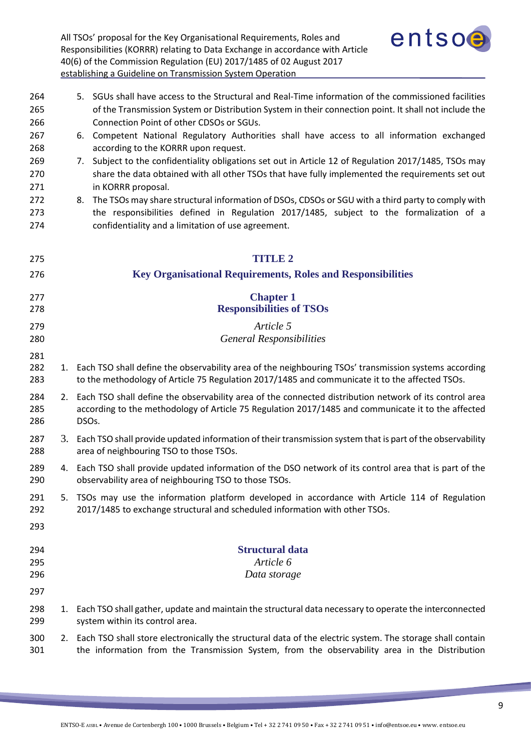

<span id="page-8-4"></span><span id="page-8-3"></span><span id="page-8-2"></span><span id="page-8-1"></span><span id="page-8-0"></span>

| 264<br>265 |    | 5. SGUs shall have access to the Structural and Real-Time information of the commissioned facilities<br>of the Transmission System or Distribution System in their connection point. It shall not include the |
|------------|----|---------------------------------------------------------------------------------------------------------------------------------------------------------------------------------------------------------------|
| 266        |    | Connection Point of other CDSOs or SGUs.                                                                                                                                                                      |
| 267        |    | 6. Competent National Regulatory Authorities shall have access to all information exchanged                                                                                                                   |
| 268<br>269 |    | according to the KORRR upon request.                                                                                                                                                                          |
| 270        |    | 7. Subject to the confidentiality obligations set out in Article 12 of Regulation 2017/1485, TSOs may<br>share the data obtained with all other TSOs that have fully implemented the requirements set out     |
| 271        |    | in KORRR proposal.                                                                                                                                                                                            |
| 272        |    | The TSOs may share structural information of DSOs, CDSOs or SGU with a third party to comply with<br>8.                                                                                                       |
| 273        |    | the responsibilities defined in Regulation 2017/1485, subject to the formalization of a                                                                                                                       |
| 274        |    | confidentiality and a limitation of use agreement.                                                                                                                                                            |
|            |    |                                                                                                                                                                                                               |
| 275        |    | <b>TITLE 2</b>                                                                                                                                                                                                |
| 276        |    | <b>Key Organisational Requirements, Roles and Responsibilities</b>                                                                                                                                            |
| 277        |    | <b>Chapter 1</b>                                                                                                                                                                                              |
| 278        |    | <b>Responsibilities of TSOs</b>                                                                                                                                                                               |
| 279        |    | Article 5                                                                                                                                                                                                     |
| 280        |    | <b>General Responsibilities</b>                                                                                                                                                                               |
| 281        |    |                                                                                                                                                                                                               |
| 282        |    | 1. Each TSO shall define the observability area of the neighbouring TSOs' transmission systems according                                                                                                      |
| 283        |    | to the methodology of Article 75 Regulation 2017/1485 and communicate it to the affected TSOs.                                                                                                                |
| 284        |    | 2. Each TSO shall define the observability area of the connected distribution network of its control area                                                                                                     |
| 285        |    | according to the methodology of Article 75 Regulation 2017/1485 and communicate it to the affected                                                                                                            |
| 286        |    | DSOs.                                                                                                                                                                                                         |
| 287        |    | 3. Each TSO shall provide updated information of their transmission system that is part of the observability                                                                                                  |
| 288        |    | area of neighbouring TSO to those TSOs.                                                                                                                                                                       |
| 289        |    | 4. Each TSO shall provide updated information of the DSO network of its control area that is part of the                                                                                                      |
| 290        |    | observability area of neighbouring TSO to those TSOs.                                                                                                                                                         |
| 291        | 5. | TSOs may use the information platform developed in accordance with Article 114 of Regulation                                                                                                                  |
| 292        |    | 2017/1485 to exchange structural and scheduled information with other TSOs.                                                                                                                                   |
| 293        |    |                                                                                                                                                                                                               |
| 294        |    | <b>Structural data</b>                                                                                                                                                                                        |
| 295        |    | Article 6                                                                                                                                                                                                     |
| 296        |    | Data storage                                                                                                                                                                                                  |
| 297        |    |                                                                                                                                                                                                               |
| 298        | 1. | Each TSO shall gather, update and maintain the structural data necessary to operate the interconnected                                                                                                        |
| 299        |    | system within its control area.                                                                                                                                                                               |
| 300        |    | 2. Each TSO shall store electronically the structural data of the electric system. The storage shall contain                                                                                                  |
| 301        |    | the information from the Transmission System, from the observability area in the Distribution                                                                                                                 |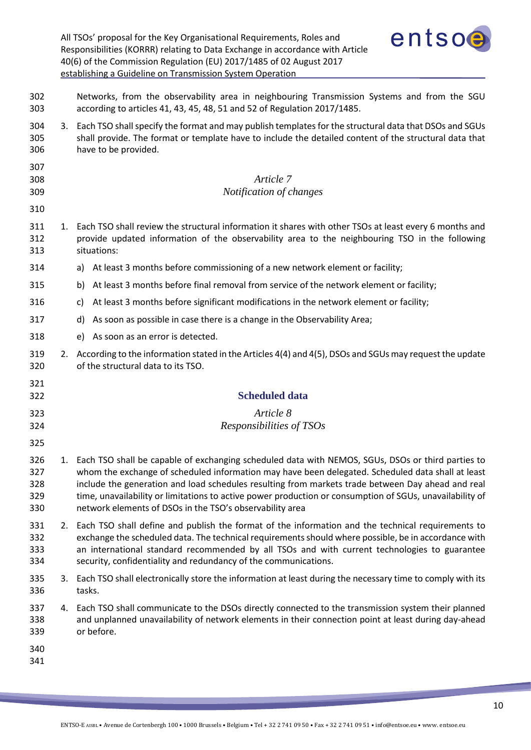<span id="page-9-2"></span><span id="page-9-1"></span><span id="page-9-0"></span>

|                                 |    | entsoe<br>All TSOs' proposal for the Key Organisational Requirements, Roles and<br>Responsibilities (KORRR) relating to Data Exchange in accordance with Article<br>40(6) of the Commission Regulation (EU) 2017/1485 of 02 August 2017<br>establishing a Guideline on Transmission System Operation                                                                                                                                                                                |
|---------------------------------|----|-------------------------------------------------------------------------------------------------------------------------------------------------------------------------------------------------------------------------------------------------------------------------------------------------------------------------------------------------------------------------------------------------------------------------------------------------------------------------------------|
| 302<br>303                      |    | Networks, from the observability area in neighbouring Transmission Systems and from the SGU<br>according to articles 41, 43, 45, 48, 51 and 52 of Regulation 2017/1485.                                                                                                                                                                                                                                                                                                             |
| 304<br>305<br>306               | 3. | Each TSO shall specify the format and may publish templates for the structural data that DSOs and SGUs<br>shall provide. The format or template have to include the detailed content of the structural data that<br>have to be provided.                                                                                                                                                                                                                                            |
| 307<br>308<br>309               |    | Article 7<br>Notification of changes                                                                                                                                                                                                                                                                                                                                                                                                                                                |
| 310<br>311<br>312<br>313        |    | 1. Each TSO shall review the structural information it shares with other TSOs at least every 6 months and<br>provide updated information of the observability area to the neighbouring TSO in the following<br>situations:                                                                                                                                                                                                                                                          |
| 314                             |    | At least 3 months before commissioning of a new network element or facility;<br>a)                                                                                                                                                                                                                                                                                                                                                                                                  |
| 315                             |    | At least 3 months before final removal from service of the network element or facility;<br>b)                                                                                                                                                                                                                                                                                                                                                                                       |
| 316                             |    | At least 3 months before significant modifications in the network element or facility;<br>c)                                                                                                                                                                                                                                                                                                                                                                                        |
| 317                             |    | d)<br>As soon as possible in case there is a change in the Observability Area;                                                                                                                                                                                                                                                                                                                                                                                                      |
| 318                             |    | As soon as an error is detected.<br>e)                                                                                                                                                                                                                                                                                                                                                                                                                                              |
| 319<br>320                      | 2. | According to the information stated in the Articles 4(4) and 4(5), DSOs and SGUs may request the update<br>of the structural data to its TSO.                                                                                                                                                                                                                                                                                                                                       |
| 321<br>322                      |    | <b>Scheduled data</b>                                                                                                                                                                                                                                                                                                                                                                                                                                                               |
| 323                             |    | Article 8                                                                                                                                                                                                                                                                                                                                                                                                                                                                           |
| 324                             |    | Responsibilities of TSOs                                                                                                                                                                                                                                                                                                                                                                                                                                                            |
| 325                             |    |                                                                                                                                                                                                                                                                                                                                                                                                                                                                                     |
| 326<br>327<br>328<br>329<br>330 | 1. | Each TSO shall be capable of exchanging scheduled data with NEMOS, SGUs, DSOs or third parties to<br>whom the exchange of scheduled information may have been delegated. Scheduled data shall at least<br>include the generation and load schedules resulting from markets trade between Day ahead and real<br>time, unavailability or limitations to active power production or consumption of SGUs, unavailability of<br>network elements of DSOs in the TSO's observability area |
| 331<br>332<br>333<br>334        | 2. | Each TSO shall define and publish the format of the information and the technical requirements to<br>exchange the scheduled data. The technical requirements should where possible, be in accordance with<br>an international standard recommended by all TSOs and with current technologies to guarantee<br>security, confidentiality and redundancy of the communications.                                                                                                        |
| 335<br>336                      |    | 3. Each TSO shall electronically store the information at least during the necessary time to comply with its<br>tasks.                                                                                                                                                                                                                                                                                                                                                              |
| 337<br>338<br>339               | 4. | Each TSO shall communicate to the DSOs directly connected to the transmission system their planned<br>and unplanned unavailability of network elements in their connection point at least during day-ahead<br>or before.                                                                                                                                                                                                                                                            |
| 340<br>341                      |    |                                                                                                                                                                                                                                                                                                                                                                                                                                                                                     |

**CONTRACTOR**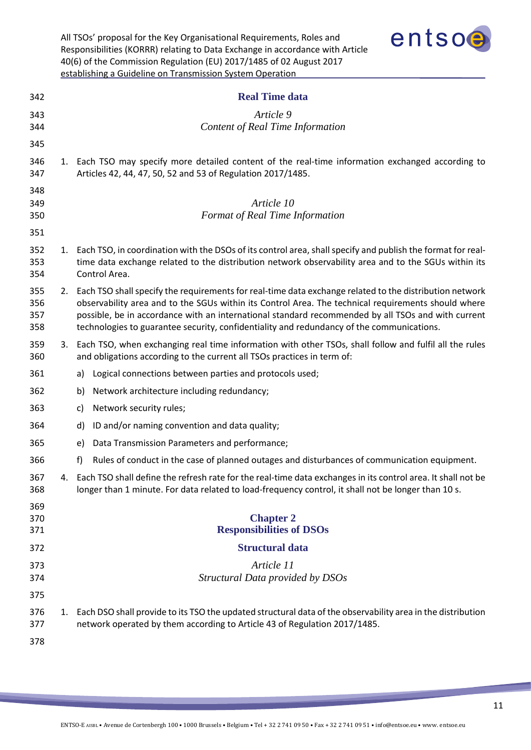<span id="page-10-2"></span><span id="page-10-1"></span><span id="page-10-0"></span>

|                          |    | entsoe<br>All TSOs' proposal for the Key Organisational Requirements, Roles and<br>Responsibilities (KORRR) relating to Data Exchange in accordance with Article<br>40(6) of the Commission Regulation (EU) 2017/1485 of 02 August 2017<br>establishing a Guideline on Transmission System Operation                                                                                                                 |
|--------------------------|----|----------------------------------------------------------------------------------------------------------------------------------------------------------------------------------------------------------------------------------------------------------------------------------------------------------------------------------------------------------------------------------------------------------------------|
| 342                      |    | <b>Real Time data</b>                                                                                                                                                                                                                                                                                                                                                                                                |
| 343<br>344               |    | Article 9<br><b>Content of Real Time Information</b>                                                                                                                                                                                                                                                                                                                                                                 |
| 345                      |    |                                                                                                                                                                                                                                                                                                                                                                                                                      |
| 346<br>347               |    | 1. Each TSO may specify more detailed content of the real-time information exchanged according to<br>Articles 42, 44, 47, 50, 52 and 53 of Regulation 2017/1485.                                                                                                                                                                                                                                                     |
| 348<br>349<br>350<br>351 |    | Article 10<br>Format of Real Time Information                                                                                                                                                                                                                                                                                                                                                                        |
| 352<br>353<br>354        |    | 1. Each TSO, in coordination with the DSOs of its control area, shall specify and publish the format for real-<br>time data exchange related to the distribution network observability area and to the SGUs within its<br>Control Area.                                                                                                                                                                              |
| 355<br>356<br>357<br>358 |    | 2. Each TSO shall specify the requirements for real-time data exchange related to the distribution network<br>observability area and to the SGUs within its Control Area. The technical requirements should where<br>possible, be in accordance with an international standard recommended by all TSOs and with current<br>technologies to guarantee security, confidentiality and redundancy of the communications. |
| 359<br>360               |    | 3. Each TSO, when exchanging real time information with other TSOs, shall follow and fulfil all the rules<br>and obligations according to the current all TSOs practices in term of:                                                                                                                                                                                                                                 |
| 361                      |    | Logical connections between parties and protocols used;<br>a)                                                                                                                                                                                                                                                                                                                                                        |
| 362                      |    | Network architecture including redundancy;<br>b)                                                                                                                                                                                                                                                                                                                                                                     |
| 363                      |    | Network security rules;<br>C)                                                                                                                                                                                                                                                                                                                                                                                        |
| 364                      |    | d) ID and/or naming convention and data quality;                                                                                                                                                                                                                                                                                                                                                                     |
| 365                      |    | Data Transmission Parameters and performance;<br>e)                                                                                                                                                                                                                                                                                                                                                                  |
| 366                      |    | Rules of conduct in the case of planned outages and disturbances of communication equipment.<br>f)                                                                                                                                                                                                                                                                                                                   |
| 367<br>368               | 4. | Each TSO shall define the refresh rate for the real-time data exchanges in its control area. It shall not be<br>longer than 1 minute. For data related to load-frequency control, it shall not be longer than 10 s.                                                                                                                                                                                                  |
| 369<br>370<br>371        |    | <b>Chapter 2</b><br><b>Responsibilities of DSOs</b>                                                                                                                                                                                                                                                                                                                                                                  |
| 372                      |    | <b>Structural data</b>                                                                                                                                                                                                                                                                                                                                                                                               |
| 373<br>374               |    | Article 11<br>Structural Data provided by DSOs                                                                                                                                                                                                                                                                                                                                                                       |
| 375                      |    |                                                                                                                                                                                                                                                                                                                                                                                                                      |
| 376<br>377<br>378        | 1. | Each DSO shall provide to its TSO the updated structural data of the observability area in the distribution<br>network operated by them according to Article 43 of Regulation 2017/1485.                                                                                                                                                                                                                             |

<span id="page-10-5"></span><span id="page-10-4"></span><span id="page-10-3"></span><u> The Company of the Company of the Company of the Company of the Company of the Company of the Company of the Company of the Company of the Company of the Company of the Company of the Company of the Company of the Compan</u>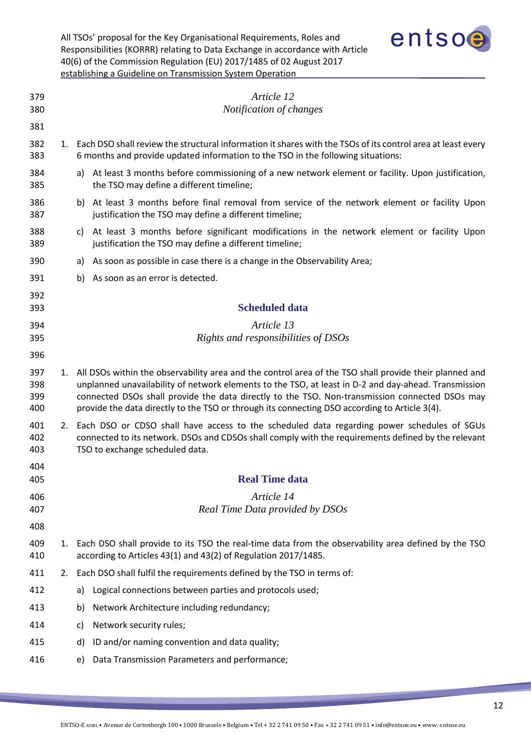| All TSOs' proposal for the Key Organisational Requirements, Roles and         |
|-------------------------------------------------------------------------------|
| Responsibilities (KORRR) relating to Data Exchange in accordance with Article |
| 40(6) of the Commission Regulation (EU) 2017/1485 of 02 August 2017           |
| establishing a Guideline on Transmission System Operation                     |



<span id="page-11-4"></span><span id="page-11-3"></span><span id="page-11-2"></span><span id="page-11-1"></span><span id="page-11-0"></span>

| 379<br>380               |    | Article 12<br>Notification of changes                                                                                                                                                                                                                                                                                                                                                                             |
|--------------------------|----|-------------------------------------------------------------------------------------------------------------------------------------------------------------------------------------------------------------------------------------------------------------------------------------------------------------------------------------------------------------------------------------------------------------------|
| 381                      |    |                                                                                                                                                                                                                                                                                                                                                                                                                   |
| 382<br>383               |    | 1. Each DSO shall review the structural information it shares with the TSOs of its control area at least every<br>6 months and provide updated information to the TSO in the following situations:                                                                                                                                                                                                                |
| 384<br>385               |    | a) At least 3 months before commissioning of a new network element or facility. Upon justification,<br>the TSO may define a different timeline;                                                                                                                                                                                                                                                                   |
| 386<br>387               |    | b) At least 3 months before final removal from service of the network element or facility Upon<br>justification the TSO may define a different timeline;                                                                                                                                                                                                                                                          |
| 388<br>389               |    | At least 3 months before significant modifications in the network element or facility Upon<br>C)<br>justification the TSO may define a different timeline;                                                                                                                                                                                                                                                        |
| 390                      |    | As soon as possible in case there is a change in the Observability Area;<br>a)                                                                                                                                                                                                                                                                                                                                    |
| 391                      |    | As soon as an error is detected.<br>b)                                                                                                                                                                                                                                                                                                                                                                            |
| 392<br>393               |    | <b>Scheduled data</b>                                                                                                                                                                                                                                                                                                                                                                                             |
| 394<br>395               |    | Article 13<br>Rights and responsibilities of DSOs                                                                                                                                                                                                                                                                                                                                                                 |
| 396                      |    |                                                                                                                                                                                                                                                                                                                                                                                                                   |
| 397<br>398<br>399<br>400 | 1. | All DSOs within the observability area and the control area of the TSO shall provide their planned and<br>unplanned unavailability of network elements to the TSO, at least in D-2 and day-ahead. Transmission<br>connected DSOs shall provide the data directly to the TSO. Non-transmission connected DSOs may<br>provide the data directly to the TSO or through its connecting DSO according to Article 3(4). |
| 401<br>402<br>403        | 2. | Each DSO or CDSO shall have access to the scheduled data regarding power schedules of SGUs<br>connected to its network. DSOs and CDSOs shall comply with the requirements defined by the relevant<br>TSO to exchange scheduled data.                                                                                                                                                                              |
| 404                      |    |                                                                                                                                                                                                                                                                                                                                                                                                                   |
| 405                      |    | <b>Real Time data</b>                                                                                                                                                                                                                                                                                                                                                                                             |
| 406<br>407               |    | Article 14<br>Real Time Data provided by DSOs                                                                                                                                                                                                                                                                                                                                                                     |
| 408                      |    |                                                                                                                                                                                                                                                                                                                                                                                                                   |
| 409<br>410               | 1. | Each DSO shall provide to its TSO the real-time data from the observability area defined by the TSO<br>according to Articles 43(1) and 43(2) of Regulation 2017/1485.                                                                                                                                                                                                                                             |
| 411                      | 2. | Each DSO shall fulfil the requirements defined by the TSO in terms of:                                                                                                                                                                                                                                                                                                                                            |
| 412                      |    | Logical connections between parties and protocols used;<br>a)                                                                                                                                                                                                                                                                                                                                                     |
| 413                      |    | Network Architecture including redundancy;<br>b)                                                                                                                                                                                                                                                                                                                                                                  |
| 414                      |    | Network security rules;<br>C)                                                                                                                                                                                                                                                                                                                                                                                     |
| 415                      |    | ID and/or naming convention and data quality;<br>d)                                                                                                                                                                                                                                                                                                                                                               |
| 416                      |    | Data Transmission Parameters and performance;<br>e)                                                                                                                                                                                                                                                                                                                                                               |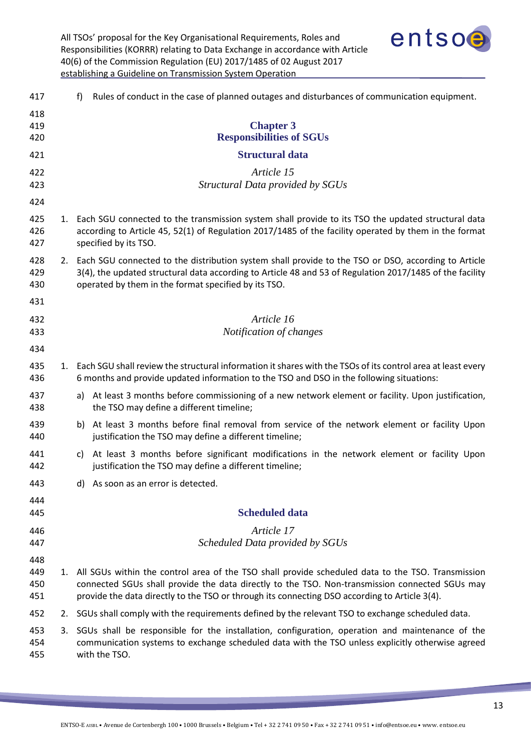

<span id="page-12-5"></span><span id="page-12-4"></span><span id="page-12-3"></span><span id="page-12-2"></span><span id="page-12-1"></span><span id="page-12-0"></span>

| 417               |    | Rules of conduct in the case of planned outages and disturbances of communication equipment.<br>f)                                                                                                                                                                                                   |
|-------------------|----|------------------------------------------------------------------------------------------------------------------------------------------------------------------------------------------------------------------------------------------------------------------------------------------------------|
| 418<br>419<br>420 |    | <b>Chapter 3</b><br><b>Responsibilities of SGUs</b>                                                                                                                                                                                                                                                  |
| 421               |    | <b>Structural data</b>                                                                                                                                                                                                                                                                               |
| 422<br>423        |    | Article 15<br>Structural Data provided by SGUs                                                                                                                                                                                                                                                       |
| 424               |    |                                                                                                                                                                                                                                                                                                      |
| 425<br>426<br>427 |    | 1. Each SGU connected to the transmission system shall provide to its TSO the updated structural data<br>according to Article 45, 52(1) of Regulation 2017/1485 of the facility operated by them in the format<br>specified by its TSO.                                                              |
| 428<br>429<br>430 |    | 2. Each SGU connected to the distribution system shall provide to the TSO or DSO, according to Article<br>3(4), the updated structural data according to Article 48 and 53 of Regulation 2017/1485 of the facility<br>operated by them in the format specified by its TSO.                           |
| 431               |    |                                                                                                                                                                                                                                                                                                      |
| 432               |    | Article 16                                                                                                                                                                                                                                                                                           |
| 433<br>434        |    | Notification of changes                                                                                                                                                                                                                                                                              |
| 435<br>436        |    | 1. Each SGU shall review the structural information it shares with the TSOs of its control area at least every<br>6 months and provide updated information to the TSO and DSO in the following situations:                                                                                           |
| 437<br>438        |    | At least 3 months before commissioning of a new network element or facility. Upon justification,<br>a)<br>the TSO may define a different timeline;                                                                                                                                                   |
| 439<br>440        |    | At least 3 months before final removal from service of the network element or facility Upon<br>b)<br>justification the TSO may define a different timeline;                                                                                                                                          |
| 441<br>442        |    | c) At least 3 months before significant modifications in the network element or facility Upon<br>justification the TSO may define a different timeline;                                                                                                                                              |
| 443               |    | d) As soon as an error is detected.                                                                                                                                                                                                                                                                  |
| 444               |    |                                                                                                                                                                                                                                                                                                      |
| 445               |    | <b>Scheduled data</b>                                                                                                                                                                                                                                                                                |
| 446               |    | Article 17                                                                                                                                                                                                                                                                                           |
| 447<br>448        |    | Scheduled Data provided by SGUs                                                                                                                                                                                                                                                                      |
| 449<br>450<br>451 | 1. | All SGUs within the control area of the TSO shall provide scheduled data to the TSO. Transmission<br>connected SGUs shall provide the data directly to the TSO. Non-transmission connected SGUs may<br>provide the data directly to the TSO or through its connecting DSO according to Article 3(4). |
| 452               |    | 2. SGUs shall comply with the requirements defined by the relevant TSO to exchange scheduled data.                                                                                                                                                                                                   |
| 453<br>454<br>455 | 3. | SGUs shall be responsible for the installation, configuration, operation and maintenance of the<br>communication systems to exchange scheduled data with the TSO unless explicitly otherwise agreed<br>with the TSO.                                                                                 |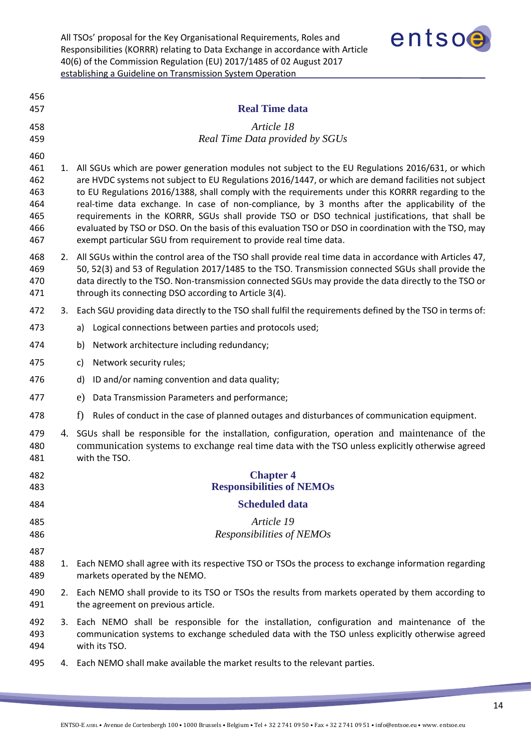

<span id="page-13-4"></span><span id="page-13-3"></span><span id="page-13-2"></span><span id="page-13-1"></span><span id="page-13-0"></span>

|    | <b>Real Time data</b>                                                                                                                                                                                                                                                                                                                                                                                                                                                                                                                                                                                                           |  |
|----|---------------------------------------------------------------------------------------------------------------------------------------------------------------------------------------------------------------------------------------------------------------------------------------------------------------------------------------------------------------------------------------------------------------------------------------------------------------------------------------------------------------------------------------------------------------------------------------------------------------------------------|--|
|    |                                                                                                                                                                                                                                                                                                                                                                                                                                                                                                                                                                                                                                 |  |
|    | Article 18<br>Real Time Data provided by SGUs                                                                                                                                                                                                                                                                                                                                                                                                                                                                                                                                                                                   |  |
|    | 1. All SGUs which are power generation modules not subject to the EU Regulations 2016/631, or which<br>are HVDC systems not subject to EU Regulations 2016/1447, or which are demand facilities not subject<br>to EU Regulations 2016/1388, shall comply with the requirements under this KORRR regarding to the<br>real-time data exchange. In case of non-compliance, by 3 months after the applicability of the<br>requirements in the KORRR, SGUs shall provide TSO or DSO technical justifications, that shall be<br>evaluated by TSO or DSO. On the basis of this evaluation TSO or DSO in coordination with the TSO, may |  |
|    | exempt particular SGU from requirement to provide real time data.                                                                                                                                                                                                                                                                                                                                                                                                                                                                                                                                                               |  |
| 2. | All SGUs within the control area of the TSO shall provide real time data in accordance with Articles 47,<br>50, 52(3) and 53 of Regulation 2017/1485 to the TSO. Transmission connected SGUs shall provide the<br>data directly to the TSO. Non-transmission connected SGUs may provide the data directly to the TSO or<br>through its connecting DSO according to Article 3(4).                                                                                                                                                                                                                                                |  |
| 3. | Each SGU providing data directly to the TSO shall fulfil the requirements defined by the TSO in terms of:                                                                                                                                                                                                                                                                                                                                                                                                                                                                                                                       |  |
|    | Logical connections between parties and protocols used;<br>a)                                                                                                                                                                                                                                                                                                                                                                                                                                                                                                                                                                   |  |
|    | Network architecture including redundancy;<br>b)                                                                                                                                                                                                                                                                                                                                                                                                                                                                                                                                                                                |  |
|    | Network security rules;<br>c)                                                                                                                                                                                                                                                                                                                                                                                                                                                                                                                                                                                                   |  |
|    | ID and/or naming convention and data quality;<br>d)                                                                                                                                                                                                                                                                                                                                                                                                                                                                                                                                                                             |  |
|    | e)<br>Data Transmission Parameters and performance;                                                                                                                                                                                                                                                                                                                                                                                                                                                                                                                                                                             |  |
|    | f<br>Rules of conduct in the case of planned outages and disturbances of communication equipment.                                                                                                                                                                                                                                                                                                                                                                                                                                                                                                                               |  |
|    | 4. SGUs shall be responsible for the installation, configuration, operation and maintenance of the<br>communication systems to exchange real time data with the TSO unless explicitly otherwise agreed<br>with the TSO.                                                                                                                                                                                                                                                                                                                                                                                                         |  |
|    | <b>Chapter 4</b>                                                                                                                                                                                                                                                                                                                                                                                                                                                                                                                                                                                                                |  |
|    | <b>Responsibilities of NEMOs</b>                                                                                                                                                                                                                                                                                                                                                                                                                                                                                                                                                                                                |  |
|    | <b>Scheduled data</b>                                                                                                                                                                                                                                                                                                                                                                                                                                                                                                                                                                                                           |  |
|    | Article 19<br>Responsibilities of NEMOs                                                                                                                                                                                                                                                                                                                                                                                                                                                                                                                                                                                         |  |
| 1. | Each NEMO shall agree with its respective TSO or TSOs the process to exchange information regarding<br>markets operated by the NEMO.                                                                                                                                                                                                                                                                                                                                                                                                                                                                                            |  |
|    | 2. Each NEMO shall provide to its TSO or TSOs the results from markets operated by them according to<br>the agreement on previous article.                                                                                                                                                                                                                                                                                                                                                                                                                                                                                      |  |
|    | 3. Each NEMO shall be responsible for the installation, configuration and maintenance of the<br>communication systems to exchange scheduled data with the TSO unless explicitly otherwise agreed<br>with its TSO.                                                                                                                                                                                                                                                                                                                                                                                                               |  |
|    | 4. Each NEMO shall make available the market results to the relevant parties.                                                                                                                                                                                                                                                                                                                                                                                                                                                                                                                                                   |  |
|    |                                                                                                                                                                                                                                                                                                                                                                                                                                                                                                                                                                                                                                 |  |